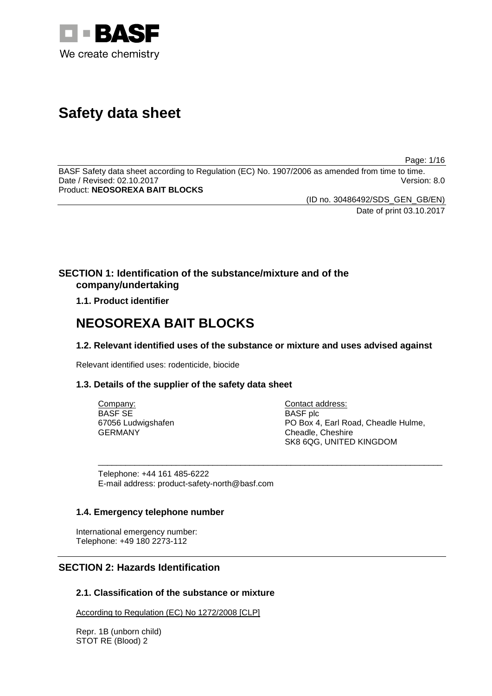

# **Safety data sheet**

Page: 1/16

BASF Safety data sheet according to Regulation (EC) No. 1907/2006 as amended from time to time. Date / Revised: 02.10.2017 Version: 8.0 Product: **NEOSOREXA BAIT BLOCKS**

(ID no. 30486492/SDS\_GEN\_GB/EN)

Date of print 03.10.2017

# **SECTION 1: Identification of the substance/mixture and of the company/undertaking**

**1.1. Product identifier**

# **NEOSOREXA BAIT BLOCKS**

# **1.2. Relevant identified uses of the substance or mixture and uses advised against**

Relevant identified uses: rodenticide, biocide

# **1.3. Details of the supplier of the safety data sheet**

| Company:           | Contact address:                    |
|--------------------|-------------------------------------|
| BASF SE            | <b>BASF</b> plc                     |
| 67056 Ludwigshafen | PO Box 4, Earl Road, Cheadle Hulme, |
| <b>GERMANY</b>     | Cheadle, Cheshire                   |
|                    | SK8 6QG, UNITED KINGDOM             |

\_\_\_\_\_\_\_\_\_\_\_\_\_\_\_\_\_\_\_\_\_\_\_\_\_\_\_\_\_\_\_\_\_\_\_\_\_\_\_\_\_\_\_\_\_\_\_\_\_\_\_\_\_\_\_\_\_\_\_\_\_\_\_\_\_\_\_\_\_\_\_\_\_\_\_

Telephone: +44 161 485-6222 E-mail address: product-safety-north@basf.com

# **1.4. Emergency telephone number**

International emergency number: Telephone: +49 180 2273-112

# **SECTION 2: Hazards Identification**

# **2.1. Classification of the substance or mixture**

According to Regulation (EC) No 1272/2008 [CLP]

Repr. 1B (unborn child) STOT RE (Blood) 2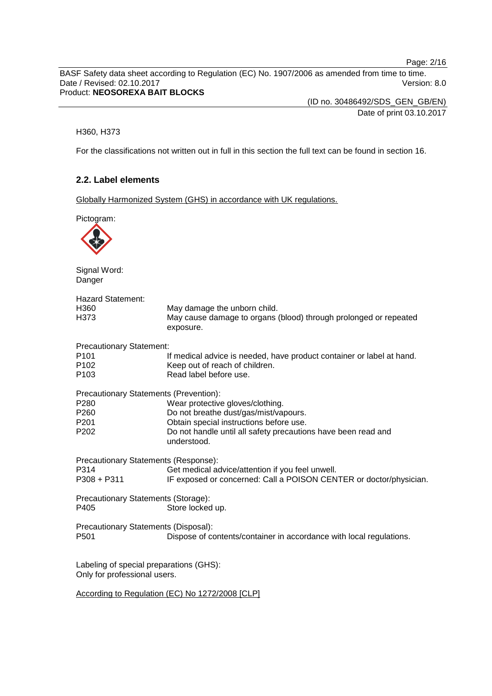Page: 2/16

BASF Safety data sheet according to Regulation (EC) No. 1907/2006 as amended from time to time. Date / Revised: 02.10.2017 Version: 8.0 Product: **NEOSOREXA BAIT BLOCKS**

> (ID no. 30486492/SDS\_GEN\_GB/EN) Date of print 03.10.2017

## H360, H373

For the classifications not written out in full in this section the full text can be found in section 16.

# **2.2. Label elements**

Globally Harmonized System (GHS) in accordance with UK regulations.

Pictogram:

Signal Word: Danger

| <b>Hazard Statement:</b>                                                |                                                                                                                                   |
|-------------------------------------------------------------------------|-----------------------------------------------------------------------------------------------------------------------------------|
| H <sub>360</sub><br>H373                                                | May damage the unborn child.<br>May cause damage to organs (blood) through prolonged or repeated<br>exposure.                     |
| <b>Precautionary Statement:</b>                                         |                                                                                                                                   |
| P <sub>101</sub><br>P <sub>102</sub><br>P103                            | If medical advice is needed, have product container or label at hand.<br>Keep out of reach of children.<br>Read label before use. |
| Precautionary Statements (Prevention):                                  |                                                                                                                                   |
| P280                                                                    | Wear protective gloves/clothing.                                                                                                  |
| P <sub>260</sub><br>P <sub>201</sub>                                    | Do not breathe dust/gas/mist/vapours.<br>Obtain special instructions before use.                                                  |
| P202                                                                    | Do not handle until all safety precautions have been read and<br>understood.                                                      |
| Precautionary Statements (Response):                                    |                                                                                                                                   |
| P314                                                                    | Get medical advice/attention if you feel unwell.                                                                                  |
| $P308 + P311$                                                           | IF exposed or concerned: Call a POISON CENTER or doctor/physician.                                                                |
| Precautionary Statements (Storage):                                     |                                                                                                                                   |
| P405                                                                    | Store locked up.                                                                                                                  |
| Precautionary Statements (Disposal):<br>P <sub>501</sub>                | Dispose of contents/container in accordance with local regulations.                                                               |
|                                                                         |                                                                                                                                   |
| Labeling of special preparations (GHS):<br>Only for professional users. |                                                                                                                                   |
|                                                                         | According to Regulation (EC) No 1272/2008 [CLP]                                                                                   |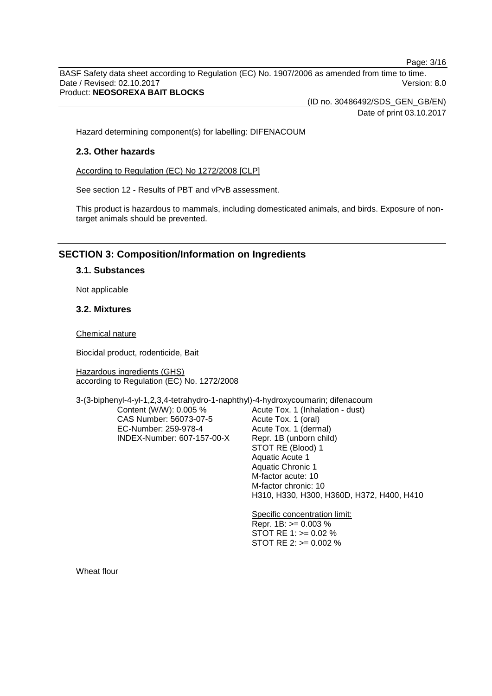Page: 3/16

BASF Safety data sheet according to Regulation (EC) No. 1907/2006 as amended from time to time. Date / Revised: 02.10.2017 Version: 8.0 Product: **NEOSOREXA BAIT BLOCKS**

(ID no. 30486492/SDS\_GEN\_GB/EN)

Date of print 03.10.2017

Hazard determining component(s) for labelling: DIFENACOUM

## **2.3. Other hazards**

According to Regulation (EC) No 1272/2008 [CLP]

See section 12 - Results of PBT and vPvB assessment.

This product is hazardous to mammals, including domesticated animals, and birds. Exposure of nontarget animals should be prevented.

# **SECTION 3: Composition/Information on Ingredients**

## **3.1. Substances**

Not applicable

## **3.2. Mixtures**

Chemical nature

Biocidal product, rodenticide, Bait

Hazardous ingredients (GHS) according to Regulation (EC) No. 1272/2008

3-(3-biphenyl-4-yl-1,2,3,4-tetrahydro-1-naphthyl)-4-hydroxycoumarin; difenacoum

Content (W/W): 0.005 % CAS Number: 56073-07-5 EC-Number: 259-978-4 INDEX-Number: 607-157-00-X Acute Tox. 1 (Inhalation - dust) Acute Tox. 1 (oral) Acute Tox. 1 (dermal) Repr. 1B (unborn child) STOT RE (Blood) 1 Aquatic Acute 1 Aquatic Chronic 1 M-factor acute: 10 M-factor chronic: 10 H310, H330, H300, H360D, H372, H400, H410

Specific concentration limit: Repr. 1B: >= 0.003 % STOT RE 1: >= 0.02 % STOT RE 2: >= 0.002 %

Wheat flour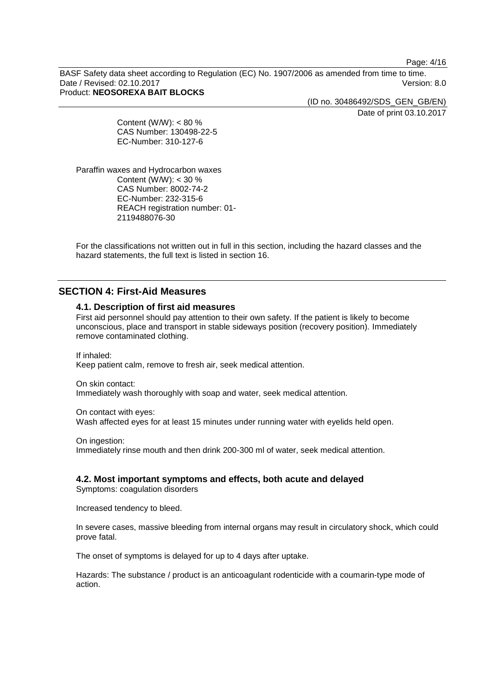Page: 4/16

BASF Safety data sheet according to Regulation (EC) No. 1907/2006 as amended from time to time. Date / Revised: 02.10.2017 Version: 8.0 Product: **NEOSOREXA BAIT BLOCKS**

> (ID no. 30486492/SDS\_GEN\_GB/EN) Date of print 03.10.2017

Content (W/W):  $< 80 \%$ CAS Number: 130498-22-5 EC-Number: 310-127-6

Paraffin waxes and Hydrocarbon waxes Content ( $\dot{W}$ /W): < 30 % CAS Number: 8002-74-2 EC-Number: 232-315-6 REACH registration number: 01- 2119488076-30

For the classifications not written out in full in this section, including the hazard classes and the hazard statements, the full text is listed in section 16.

# **SECTION 4: First-Aid Measures**

## **4.1. Description of first aid measures**

First aid personnel should pay attention to their own safety. If the patient is likely to become unconscious, place and transport in stable sideways position (recovery position). Immediately remove contaminated clothing.

If inhaled: Keep patient calm, remove to fresh air, seek medical attention.

On skin contact:

Immediately wash thoroughly with soap and water, seek medical attention.

On contact with eyes:

Wash affected eyes for at least 15 minutes under running water with eyelids held open.

On ingestion:

Immediately rinse mouth and then drink 200-300 ml of water, seek medical attention.

**4.2. Most important symptoms and effects, both acute and delayed**

Symptoms: coagulation disorders

Increased tendency to bleed.

In severe cases, massive bleeding from internal organs may result in circulatory shock, which could prove fatal.

The onset of symptoms is delayed for up to 4 days after uptake.

Hazards: The substance / product is an anticoagulant rodenticide with a coumarin-type mode of action.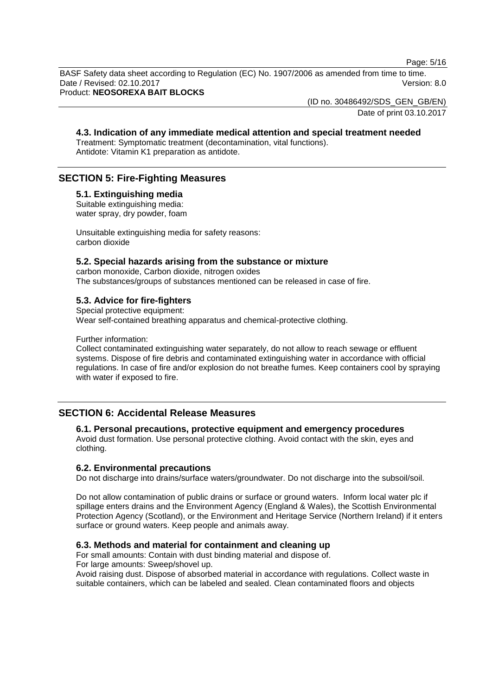Page: 5/16

BASF Safety data sheet according to Regulation (EC) No. 1907/2006 as amended from time to time. Date / Revised: 02.10.2017 **Version: 8.0** Product: **NEOSOREXA BAIT BLOCKS**

(ID no. 30486492/SDS\_GEN\_GB/EN)

Date of print 03.10.2017

## **4.3. Indication of any immediate medical attention and special treatment needed**

Treatment: Symptomatic treatment (decontamination, vital functions). Antidote: Vitamin K1 preparation as antidote.

# **SECTION 5: Fire-Fighting Measures**

## **5.1. Extinguishing media**

Suitable extinguishing media: water spray, dry powder, foam

Unsuitable extinguishing media for safety reasons: carbon dioxide

#### **5.2. Special hazards arising from the substance or mixture**

carbon monoxide, Carbon dioxide, nitrogen oxides The substances/groups of substances mentioned can be released in case of fire.

#### **5.3. Advice for fire-fighters**

Special protective equipment:

Wear self-contained breathing apparatus and chemical-protective clothing.

Further information:

Collect contaminated extinguishing water separately, do not allow to reach sewage or effluent systems. Dispose of fire debris and contaminated extinguishing water in accordance with official regulations. In case of fire and/or explosion do not breathe fumes. Keep containers cool by spraying with water if exposed to fire.

# **SECTION 6: Accidental Release Measures**

## **6.1. Personal precautions, protective equipment and emergency procedures**

Avoid dust formation. Use personal protective clothing. Avoid contact with the skin, eyes and clothing.

#### **6.2. Environmental precautions**

Do not discharge into drains/surface waters/groundwater. Do not discharge into the subsoil/soil.

Do not allow contamination of public drains or surface or ground waters. Inform local water plc if spillage enters drains and the Environment Agency (England & Wales), the Scottish Environmental Protection Agency (Scotland), or the Environment and Heritage Service (Northern Ireland) if it enters surface or ground waters. Keep people and animals away.

#### **6.3. Methods and material for containment and cleaning up**

For small amounts: Contain with dust binding material and dispose of. For large amounts: Sweep/shovel up.

Avoid raising dust. Dispose of absorbed material in accordance with regulations. Collect waste in suitable containers, which can be labeled and sealed. Clean contaminated floors and objects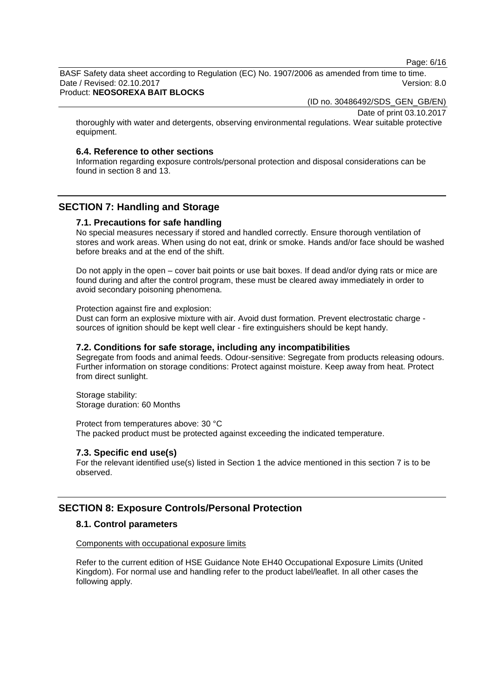Page: 6/16

BASF Safety data sheet according to Regulation (EC) No. 1907/2006 as amended from time to time. Date / Revised: 02.10.2017 **Version: 8.0** 

## Product: **NEOSOREXA BAIT BLOCKS**

(ID no. 30486492/SDS\_GEN\_GB/EN)

Date of print 03.10.2017

thoroughly with water and detergents, observing environmental regulations. Wear suitable protective equipment.

## **6.4. Reference to other sections**

Information regarding exposure controls/personal protection and disposal considerations can be found in section 8 and 13.

# **SECTION 7: Handling and Storage**

#### **7.1. Precautions for safe handling**

No special measures necessary if stored and handled correctly. Ensure thorough ventilation of stores and work areas. When using do not eat, drink or smoke. Hands and/or face should be washed before breaks and at the end of the shift.

Do not apply in the open – cover bait points or use bait boxes. If dead and/or dying rats or mice are found during and after the control program, these must be cleared away immediately in order to avoid secondary poisoning phenomena.

Protection against fire and explosion:

Dust can form an explosive mixture with air. Avoid dust formation. Prevent electrostatic charge sources of ignition should be kept well clear - fire extinguishers should be kept handy.

#### **7.2. Conditions for safe storage, including any incompatibilities**

Segregate from foods and animal feeds. Odour-sensitive: Segregate from products releasing odours. Further information on storage conditions: Protect against moisture. Keep away from heat. Protect from direct sunlight.

Storage stability: Storage duration: 60 Months

Protect from temperatures above: 30 °C The packed product must be protected against exceeding the indicated temperature.

#### **7.3. Specific end use(s)**

For the relevant identified use(s) listed in Section 1 the advice mentioned in this section 7 is to be observed.

## **SECTION 8: Exposure Controls/Personal Protection**

## **8.1. Control parameters**

#### Components with occupational exposure limits

Refer to the current edition of HSE Guidance Note EH40 Occupational Exposure Limits (United Kingdom). For normal use and handling refer to the product label/leaflet. In all other cases the following apply.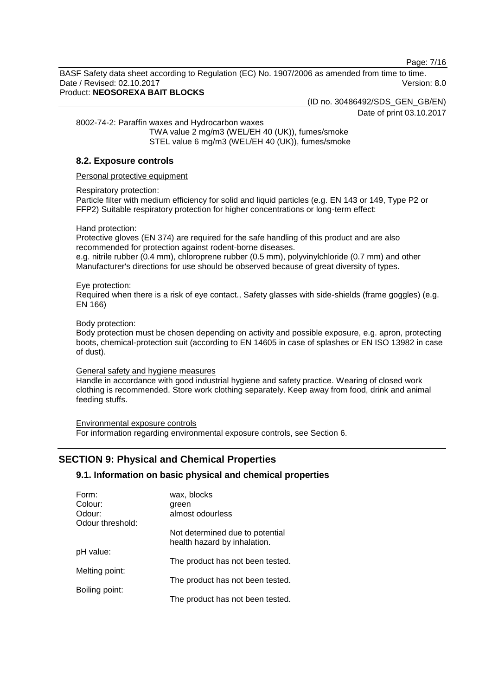Page: 7/16

BASF Safety data sheet according to Regulation (EC) No. 1907/2006 as amended from time to time. Date / Revised: 02.10.2017 Version: 8.0 Product: **NEOSOREXA BAIT BLOCKS**

(ID no. 30486492/SDS\_GEN\_GB/EN)

Date of print 03.10.2017

8002-74-2: Paraffin waxes and Hydrocarbon waxes

TWA value 2 mg/m3 (WEL/EH 40 (UK)), fumes/smoke STEL value 6 mg/m3 (WEL/EH 40 (UK)), fumes/smoke

# **8.2. Exposure controls**

Personal protective equipment

## Respiratory protection:

Particle filter with medium efficiency for solid and liquid particles (e.g. EN 143 or 149, Type P2 or FFP2) Suitable respiratory protection for higher concentrations or long-term effect:

Hand protection:

Protective gloves (EN 374) are required for the safe handling of this product and are also recommended for protection against rodent-borne diseases.

e.g. nitrile rubber (0.4 mm), chloroprene rubber (0.5 mm), polyvinylchloride (0.7 mm) and other Manufacturer's directions for use should be observed because of great diversity of types.

## Eye protection:

Required when there is a risk of eye contact., Safety glasses with side-shields (frame goggles) (e.g. EN 166)

## Body protection:

Body protection must be chosen depending on activity and possible exposure, e.g. apron, protecting boots, chemical-protection suit (according to EN 14605 in case of splashes or EN ISO 13982 in case of dust).

#### General safety and hygiene measures

Handle in accordance with good industrial hygiene and safety practice. Wearing of closed work clothing is recommended. Store work clothing separately. Keep away from food, drink and animal feeding stuffs.

Environmental exposure controls For information regarding environmental exposure controls, see Section 6.

# **SECTION 9: Physical and Chemical Properties**

# **9.1. Information on basic physical and chemical properties**

| Form:            | wax, blocks                                                     |
|------------------|-----------------------------------------------------------------|
| Colour:          | green                                                           |
| Odour:           | almost odourless                                                |
| Odour threshold: |                                                                 |
|                  | Not determined due to potential<br>health hazard by inhalation. |
| pH value:        |                                                                 |
|                  | The product has not been tested.                                |
| Melting point:   |                                                                 |
|                  | The product has not been tested.                                |
| Boiling point:   |                                                                 |
|                  | The product has not been tested.                                |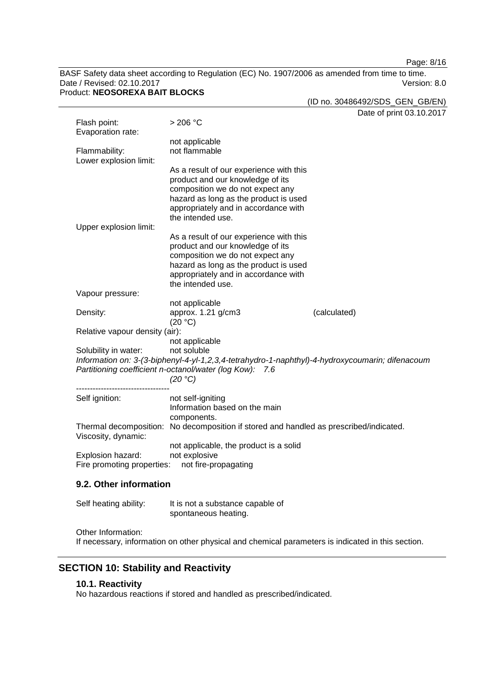Page: 8/16

BASF Safety data sheet according to Regulation (EC) No. 1907/2006 as amended from time to time. Date / Revised: 02.10.2017 Version: 8.0 Product: **NEOSOREXA BAIT BLOCKS**

|                                                 |                                                                                                 |              | (ID no. 30486492/SDS_GEN_GB/EN) |
|-------------------------------------------------|-------------------------------------------------------------------------------------------------|--------------|---------------------------------|
|                                                 |                                                                                                 |              | Date of print 03.10.2017        |
| Flash point:                                    | $>206$ °C                                                                                       |              |                                 |
| Evaporation rate:                               |                                                                                                 |              |                                 |
| Flammability:                                   | not applicable<br>not flammable                                                                 |              |                                 |
| Lower explosion limit:                          |                                                                                                 |              |                                 |
|                                                 | As a result of our experience with this                                                         |              |                                 |
|                                                 | product and our knowledge of its                                                                |              |                                 |
|                                                 | composition we do not expect any                                                                |              |                                 |
|                                                 | hazard as long as the product is used<br>appropriately and in accordance with                   |              |                                 |
|                                                 | the intended use.                                                                               |              |                                 |
| Upper explosion limit:                          |                                                                                                 |              |                                 |
|                                                 | As a result of our experience with this                                                         |              |                                 |
|                                                 | product and our knowledge of its                                                                |              |                                 |
|                                                 | composition we do not expect any<br>hazard as long as the product is used                       |              |                                 |
|                                                 | appropriately and in accordance with                                                            |              |                                 |
|                                                 | the intended use.                                                                               |              |                                 |
| Vapour pressure:                                |                                                                                                 |              |                                 |
|                                                 | not applicable                                                                                  |              |                                 |
| Density:                                        | approx. 1.21 g/cm3                                                                              | (calculated) |                                 |
| Relative vapour density (air):                  | (20 °C)                                                                                         |              |                                 |
|                                                 | not applicable                                                                                  |              |                                 |
| Solubility in water:                            | not soluble                                                                                     |              |                                 |
|                                                 | Information on: 3-(3-biphenyl-4-yl-1,2,3,4-tetrahydro-1-naphthyl)-4-hydroxycoumarin; difenacoum |              |                                 |
|                                                 | Partitioning coefficient n-octanol/water (log Kow): 7.6                                         |              |                                 |
|                                                 | (20 °C)                                                                                         |              |                                 |
| Self ignition:                                  | not self-igniting                                                                               |              |                                 |
|                                                 | Information based on the main                                                                   |              |                                 |
|                                                 | components.                                                                                     |              |                                 |
| Viscosity, dynamic:                             | Thermal decomposition: No decomposition if stored and handled as prescribed/indicated.          |              |                                 |
|                                                 | not applicable, the product is a solid                                                          |              |                                 |
| Explosion hazard:<br>Fire promoting properties: | not explosive<br>not fire-propagating                                                           |              |                                 |
|                                                 |                                                                                                 |              |                                 |
| $0.2.01$ harinfarmatian                         |                                                                                                 |              |                                 |

## **9.2. Other information**

| Self heating ability: | It is not a substance capable of |
|-----------------------|----------------------------------|
|                       | spontaneous heating.             |

Other Information:

If necessary, information on other physical and chemical parameters is indicated in this section.

# **SECTION 10: Stability and Reactivity**

# **10.1. Reactivity**

No hazardous reactions if stored and handled as prescribed/indicated.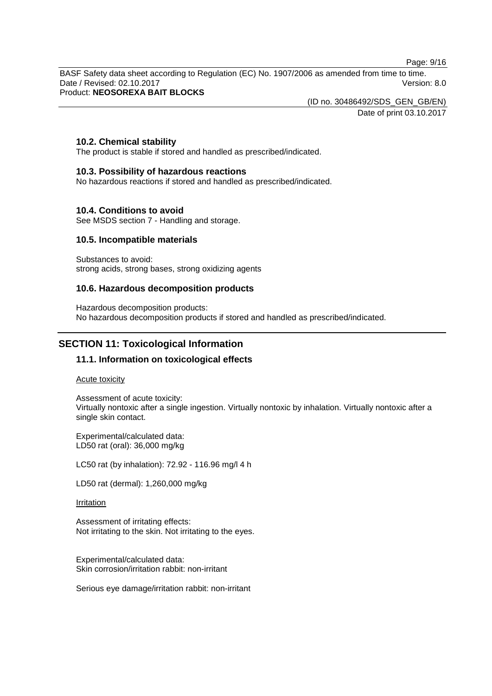Page: 9/16

BASF Safety data sheet according to Regulation (EC) No. 1907/2006 as amended from time to time. Date / Revised: 02.10.2017 Version: 8.0 Product: **NEOSOREXA BAIT BLOCKS**

(ID no. 30486492/SDS\_GEN\_GB/EN)

Date of print 03.10.2017

## **10.2. Chemical stability**

The product is stable if stored and handled as prescribed/indicated.

### **10.3. Possibility of hazardous reactions**

No hazardous reactions if stored and handled as prescribed/indicated.

## **10.4. Conditions to avoid**

See MSDS section 7 - Handling and storage.

## **10.5. Incompatible materials**

Substances to avoid: strong acids, strong bases, strong oxidizing agents

## **10.6. Hazardous decomposition products**

Hazardous decomposition products: No hazardous decomposition products if stored and handled as prescribed/indicated.

# **SECTION 11: Toxicological Information**

## **11.1. Information on toxicological effects**

Acute toxicity

Assessment of acute toxicity: Virtually nontoxic after a single ingestion. Virtually nontoxic by inhalation. Virtually nontoxic after a single skin contact.

Experimental/calculated data: LD50 rat (oral): 36,000 mg/kg

LC50 rat (by inhalation): 72.92 - 116.96 mg/l 4 h

LD50 rat (dermal): 1,260,000 mg/kg

Irritation

Assessment of irritating effects: Not irritating to the skin. Not irritating to the eyes.

Experimental/calculated data: Skin corrosion/irritation rabbit: non-irritant

Serious eye damage/irritation rabbit: non-irritant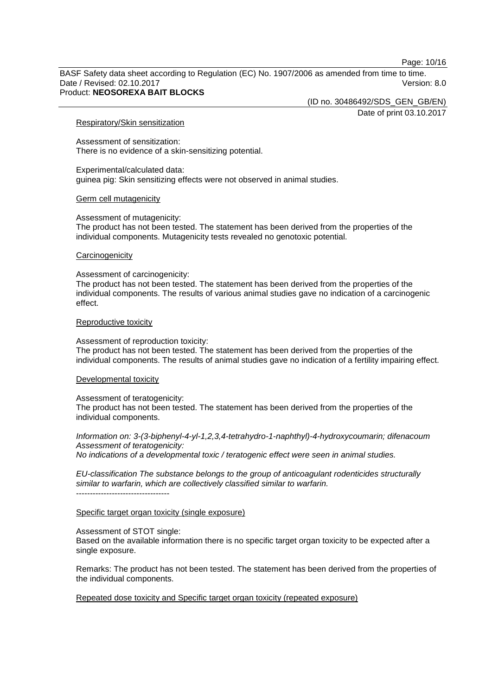Page: 10/16

BASF Safety data sheet according to Regulation (EC) No. 1907/2006 as amended from time to time. Date / Revised: 02.10.2017 Version: 8.0 Product: **NEOSOREXA BAIT BLOCKS**

(ID no. 30486492/SDS\_GEN\_GB/EN)

Date of print 03.10.2017

#### Respiratory/Skin sensitization

Assessment of sensitization: There is no evidence of a skin-sensitizing potential.

Experimental/calculated data: guinea pig: Skin sensitizing effects were not observed in animal studies.

#### Germ cell mutagenicity

Assessment of mutagenicity:

The product has not been tested. The statement has been derived from the properties of the individual components. Mutagenicity tests revealed no genotoxic potential.

#### **Carcinogenicity**

Assessment of carcinogenicity:

The product has not been tested. The statement has been derived from the properties of the individual components. The results of various animal studies gave no indication of a carcinogenic effect.

#### Reproductive toxicity

Assessment of reproduction toxicity:

The product has not been tested. The statement has been derived from the properties of the individual components. The results of animal studies gave no indication of a fertility impairing effect.

#### Developmental toxicity

Assessment of teratogenicity:

The product has not been tested. The statement has been derived from the properties of the individual components.

*Information on: 3-(3-biphenyl-4-yl-1,2,3,4-tetrahydro-1-naphthyl)-4-hydroxycoumarin; difenacoum Assessment of teratogenicity:*

*No indications of a developmental toxic / teratogenic effect were seen in animal studies.*

*EU-classification The substance belongs to the group of anticoagulant rodenticides structurally similar to warfarin, which are collectively classified similar to warfarin.* ----------------------------------

#### Specific target organ toxicity (single exposure)

Assessment of STOT single:

Based on the available information there is no specific target organ toxicity to be expected after a single exposure.

Remarks: The product has not been tested. The statement has been derived from the properties of the individual components.

Repeated dose toxicity and Specific target organ toxicity (repeated exposure)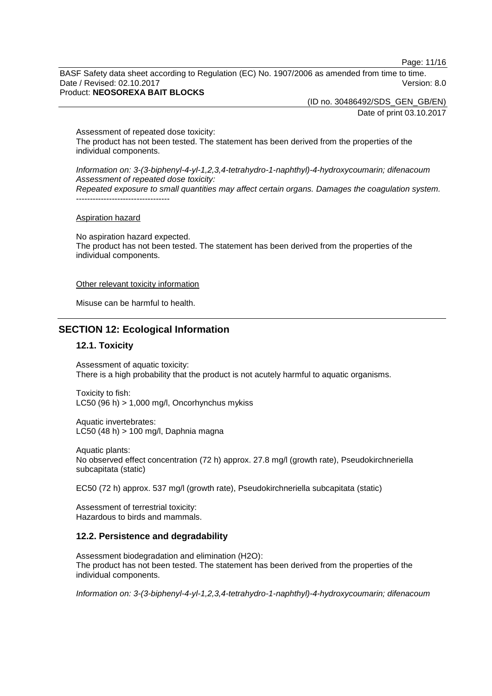Page: 11/16

BASF Safety data sheet according to Regulation (EC) No. 1907/2006 as amended from time to time. Date / Revised: 02.10.2017 **Version: 8.0** Product: **NEOSOREXA BAIT BLOCKS**

> (ID no. 30486492/SDS\_GEN\_GB/EN) Date of print 03.10.2017

Assessment of repeated dose toxicity: The product has not been tested. The statement has been derived from the properties of the individual components.

*Information on: 3-(3-biphenyl-4-yl-1,2,3,4-tetrahydro-1-naphthyl)-4-hydroxycoumarin; difenacoum Assessment of repeated dose toxicity: Repeated exposure to small quantities may affect certain organs. Damages the coagulation system.* ----------------------------------

#### Aspiration hazard

No aspiration hazard expected. The product has not been tested. The statement has been derived from the properties of the individual components.

#### Other relevant toxicity information

Misuse can be harmful to health.

# **SECTION 12: Ecological Information**

#### **12.1. Toxicity**

Assessment of aquatic toxicity: There is a high probability that the product is not acutely harmful to aquatic organisms.

Toxicity to fish: LC50 (96 h)  $> 1,000$  mg/l, Oncorhynchus mykiss

Aquatic invertebrates: LC50 (48 h) > 100 mg/l, Daphnia magna

Aquatic plants: No observed effect concentration (72 h) approx. 27.8 mg/l (growth rate), Pseudokirchneriella subcapitata (static)

EC50 (72 h) approx. 537 mg/l (growth rate), Pseudokirchneriella subcapitata (static)

Assessment of terrestrial toxicity: Hazardous to birds and mammals.

#### **12.2. Persistence and degradability**

Assessment biodegradation and elimination (H2O): The product has not been tested. The statement has been derived from the properties of the individual components.

*Information on: 3-(3-biphenyl-4-yl-1,2,3,4-tetrahydro-1-naphthyl)-4-hydroxycoumarin; difenacoum*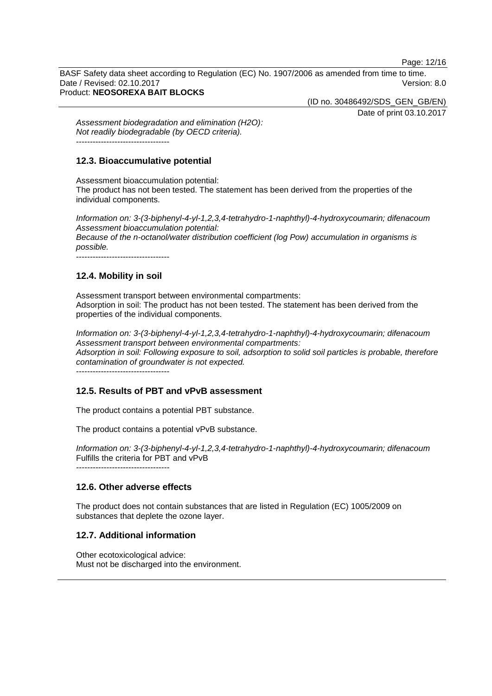Page: 12/16

BASF Safety data sheet according to Regulation (EC) No. 1907/2006 as amended from time to time. Date / Revised: 02.10.2017 **Version: 8.0** Product: **NEOSOREXA BAIT BLOCKS**

(ID no. 30486492/SDS\_GEN\_GB/EN)

Date of print 03.10.2017

*Assessment biodegradation and elimination (H2O): Not readily biodegradable (by OECD criteria).* ----------------------------------

# **12.3. Bioaccumulative potential**

Assessment bioaccumulation potential: The product has not been tested. The statement has been derived from the properties of the individual components.

*Information on: 3-(3-biphenyl-4-yl-1,2,3,4-tetrahydro-1-naphthyl)-4-hydroxycoumarin; difenacoum Assessment bioaccumulation potential: Because of the n-octanol/water distribution coefficient (log Pow) accumulation in organisms is possible.* ----------------------------------

# **12.4. Mobility in soil**

Assessment transport between environmental compartments: Adsorption in soil: The product has not been tested. The statement has been derived from the properties of the individual components.

*Information on: 3-(3-biphenyl-4-yl-1,2,3,4-tetrahydro-1-naphthyl)-4-hydroxycoumarin; difenacoum Assessment transport between environmental compartments: Adsorption in soil: Following exposure to soil, adsorption to solid soil particles is probable, therefore contamination of groundwater is not expected.*

----------------------------------

# **12.5. Results of PBT and vPvB assessment**

The product contains a potential PBT substance.

The product contains a potential vPvB substance.

*Information on: 3-(3-biphenyl-4-yl-1,2,3,4-tetrahydro-1-naphthyl)-4-hydroxycoumarin; difenacoum* Fulfills the criteria for PBT and vPvB *----------------------------------*

# **12.6. Other adverse effects**

The product does not contain substances that are listed in Regulation (EC) 1005/2009 on substances that deplete the ozone layer.

# **12.7. Additional information**

Other ecotoxicological advice: Must not be discharged into the environment.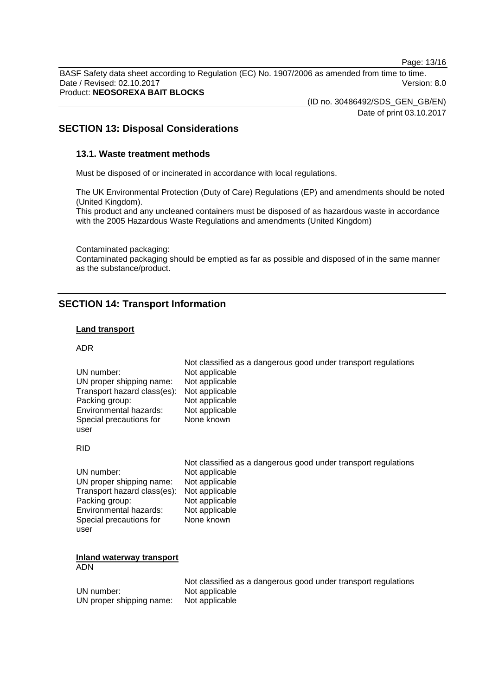Page: 13/16

BASF Safety data sheet according to Regulation (EC) No. 1907/2006 as amended from time to time. Date / Revised: 02.10.2017 Version: 8.0 Product: **NEOSOREXA BAIT BLOCKS**

(ID no. 30486492/SDS\_GEN\_GB/EN)

Date of print 03.10.2017

# **SECTION 13: Disposal Considerations**

## **13.1. Waste treatment methods**

Must be disposed of or incinerated in accordance with local regulations.

The UK Environmental Protection (Duty of Care) Regulations (EP) and amendments should be noted (United Kingdom).

This product and any uncleaned containers must be disposed of as hazardous waste in accordance with the 2005 Hazardous Waste Regulations and amendments (United Kingdom)

Contaminated packaging:

Contaminated packaging should be emptied as far as possible and disposed of in the same manner as the substance/product.

# **SECTION 14: Transport Information**

## **Land transport**

#### ADR

| UN number:<br>UN proper shipping name:<br>Transport hazard class(es):<br>Packing group:<br>Environmental hazards:<br>Special precautions for<br>user | Not classified as a dangerous good under transport regulations<br>Not applicable<br>Not applicable<br>Not applicable<br>Not applicable<br>Not applicable<br>None known |
|------------------------------------------------------------------------------------------------------------------------------------------------------|------------------------------------------------------------------------------------------------------------------------------------------------------------------------|
| <b>RID</b>                                                                                                                                           |                                                                                                                                                                        |
| UN number:<br>UN proper shipping name:<br>Transport hazard class(es):<br>Packing group:<br>Environmental hazards:<br>Special precautions for<br>user | Not classified as a dangerous good under transport regulations<br>Not applicable<br>Not applicable<br>Not applicable<br>Not applicable<br>Not applicable<br>None known |
| <b>Inland waterway transport</b><br><b>ADN</b>                                                                                                       |                                                                                                                                                                        |
| UN number:<br>UN proper shipping name:                                                                                                               | Not classified as a dangerous good under transport regulations<br>Not applicable<br>Not applicable                                                                     |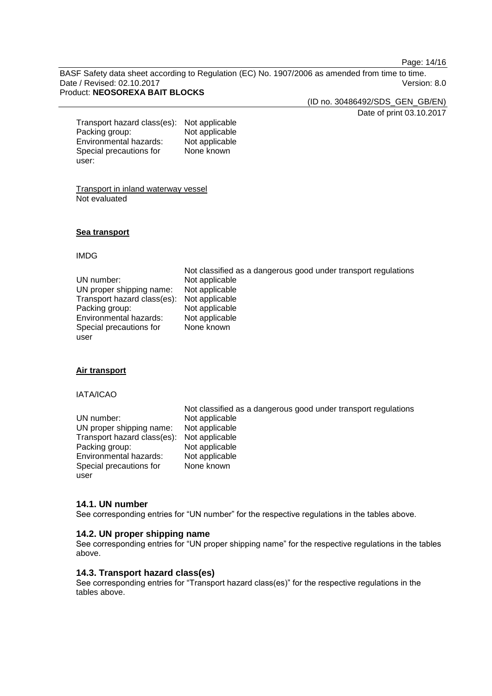Page: 14/16

BASF Safety data sheet according to Regulation (EC) No. 1907/2006 as amended from time to time. Date / Revised: 02.10.2017 Version: 8.0 Product: **NEOSOREXA BAIT BLOCKS**

> (ID no. 30486492/SDS\_GEN\_GB/EN) Date of print 03.10.2017

Transport hazard class(es): Not applicable<br>Packing group: Not applicable Packing group: Not applicable<br>
Environmental hazards: Not applicable Environmental hazards: Special precautions for user: None known

Transport in inland waterway vessel Not evaluated

#### **Sea transport**

#### IMDG

#### **Air transport**

#### IATA/ICAO

|                                            | Not classified as a dangerous good under transport regulations |
|--------------------------------------------|----------------------------------------------------------------|
| UN number:                                 | Not applicable                                                 |
| UN proper shipping name:                   | Not applicable                                                 |
| Transport hazard class(es): Not applicable |                                                                |
| Packing group:                             | Not applicable                                                 |
| Environmental hazards:                     | Not applicable                                                 |
| Special precautions for                    | None known                                                     |
| user                                       |                                                                |

#### **14.1. UN number**

See corresponding entries for "UN number" for the respective regulations in the tables above.

## **14.2. UN proper shipping name**

See corresponding entries for "UN proper shipping name" for the respective regulations in the tables above.

# **14.3. Transport hazard class(es)**

See corresponding entries for "Transport hazard class(es)" for the respective regulations in the tables above.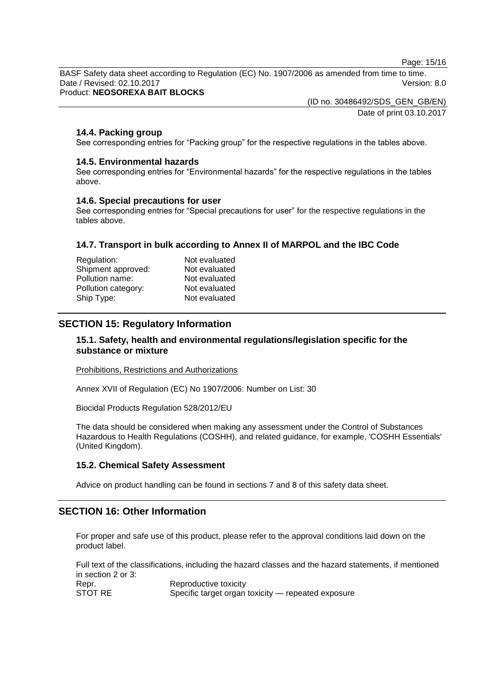Page: 15/16

BASF Safety data sheet according to Regulation (EC) No. 1907/2006 as amended from time to time. Date / Revised: 02.10.2017 Version: 8.0

Product: **NEOSOREXA BAIT BLOCKS**

(ID no. 30486492/SDS\_GEN\_GB/EN) Date of print 03.10.2017

## **14.4. Packing group**

See corresponding entries for "Packing group" for the respective regulations in the tables above.

## **14.5. Environmental hazards**

See corresponding entries for "Environmental hazards" for the respective regulations in the tables above.

#### **14.6. Special precautions for user**

See corresponding entries for "Special precautions for user" for the respective regulations in the tables above.

## **14.7. Transport in bulk according to Annex II of MARPOL and the IBC Code**

| Not evaluated |
|---------------|
| Not evaluated |
| Not evaluated |
| Not evaluated |
| Not evaluated |
|               |

# **SECTION 15: Regulatory Information**

## **15.1. Safety, health and environmental regulations/legislation specific for the substance or mixture**

Prohibitions, Restrictions and Authorizations

Annex XVII of Regulation (EC) No 1907/2006: Number on List: 30

Biocidal Products Regulation 528/2012/EU

The data should be considered when making any assessment under the Control of Substances Hazardous to Health Regulations (COSHH), and related guidance, for example, 'COSHH Essentials' (United Kingdom).

#### **15.2. Chemical Safety Assessment**

Advice on product handling can be found in sections 7 and 8 of this safety data sheet.

## **SECTION 16: Other Information**

For proper and safe use of this product, please refer to the approval conditions laid down on the product label.

Full text of the classifications, including the hazard classes and the hazard statements, if mentioned in section 2 or 3: Repr. Reproductive toxicity<br>STOT RE Specific target organ Specific target organ toxicity — repeated exposure